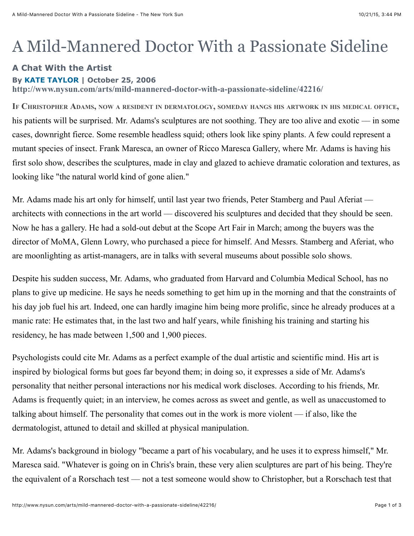## A Mild-Mannered Doctor With a Passionate Sideline

## **A Chat With the Artist**

## **By [KATE TAYLOR](http://www.nysun.com/authors/Kate+Taylor) | October 25, 2006**

**http://www.nysun.com/arts/mild-mannered-doctor-with-a-passionate-sideline/42216/**

**IF CHRISTOPHER ADAMS, NOW A RESIDENT IN DERMATOLOGY, SOMEDAY HANGS HIS ARTWORK IN HIS MEDICAL OFFICE,** his patients will be surprised. Mr. Adams's sculptures are not soothing. They are too alive and exotic — in some cases, downright fierce. Some resemble headless squid; others look like spiny plants. A few could represent a mutant species of insect. Frank Maresca, an owner of Ricco Maresca Gallery, where Mr. Adams is having his first solo show, describes the sculptures, made in clay and glazed to achieve dramatic coloration and textures, as looking like "the natural world kind of gone alien."

Mr. Adams made his art only for himself, until last year two friends, Peter Stamberg and Paul Aferiat architects with connections in the art world –– discovered his sculptures and decided that they should be seen. Now he has a gallery. He had a sold-out debut at the Scope Art Fair in March; among the buyers was the director of MoMA, Glenn Lowry, who purchased a piece for himself. And Messrs. Stamberg and Aferiat, who are moonlighting as artist-managers, are in talks with several museums about possible solo shows.

Despite his sudden success, Mr. Adams, who graduated from Harvard and Columbia Medical School, has no plans to give up medicine. He says he needs something to get him up in the morning and that the constraints of his day job fuel his art. Indeed, one can hardly imagine him being more prolific, since he already produces at a manic rate: He estimates that, in the last two and half years, while finishing his training and starting his residency, he has made between 1,500 and 1,900 pieces.

Psychologists could cite Mr. Adams as a perfect example of the dual artistic and scientific mind. His art is inspired by biological forms but goes far beyond them; in doing so, it expresses a side of Mr. Adams's personality that neither personal interactions nor his medical work discloses. According to his friends, Mr. Adams is frequently quiet; in an interview, he comes across as sweet and gentle, as well as unaccustomed to talking about himself. The personality that comes out in the work is more violent –– if also, like the dermatologist, attuned to detail and skilled at physical manipulation.

Mr. Adams's background in biology "became a part of his vocabulary, and he uses it to express himself," Mr. Maresca said. "Whatever is going on in Chris's brain, these very alien sculptures are part of his being. They're the equivalent of a Rorschach test –– not a test someone would show to Christopher, but a Rorschach test that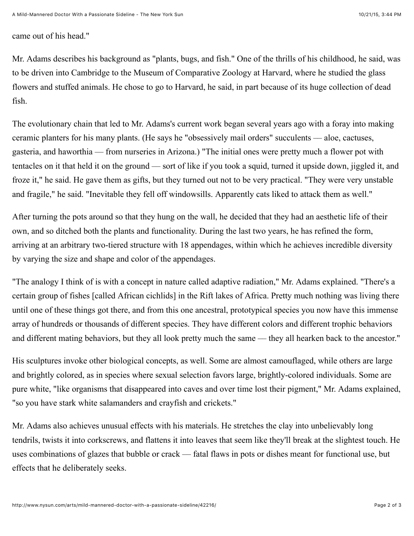## came out of his head."

Mr. Adams describes his background as "plants, bugs, and fish." One of the thrills of his childhood, he said, was to be driven into Cambridge to the Museum of Comparative Zoology at Harvard, where he studied the glass flowers and stuffed animals. He chose to go to Harvard, he said, in part because of its huge collection of dead fish.

The evolutionary chain that led to Mr. Adams's current work began several years ago with a foray into making ceramic planters for his many plants. (He says he "obsessively mail orders" succulents –– aloe, cactuses, gasteria, and haworthia –– from nurseries in Arizona.) "The initial ones were pretty much a flower pot with tentacles on it that held it on the ground –– sort of like if you took a squid, turned it upside down, jiggled it, and froze it," he said. He gave them as gifts, but they turned out not to be very practical. "They were very unstable and fragile," he said. "Inevitable they fell off windowsills. Apparently cats liked to attack them as well."

After turning the pots around so that they hung on the wall, he decided that they had an aesthetic life of their own, and so ditched both the plants and functionality. During the last two years, he has refined the form, arriving at an arbitrary two-tiered structure with 18 appendages, within which he achieves incredible diversity by varying the size and shape and color of the appendages.

"The analogy I think of is with a concept in nature called adaptive radiation," Mr. Adams explained. "There's a certain group of fishes [called African cichlids] in the Rift lakes of Africa. Pretty much nothing was living there until one of these things got there, and from this one ancestral, prototypical species you now have this immense array of hundreds or thousands of different species. They have different colors and different trophic behaviors and different mating behaviors, but they all look pretty much the same — they all hearken back to the ancestor."

His sculptures invoke other biological concepts, as well. Some are almost camouflaged, while others are large and brightly colored, as in species where sexual selection favors large, brightly-colored individuals. Some are pure white, "like organisms that disappeared into caves and over time lost their pigment," Mr. Adams explained, "so you have stark white salamanders and crayfish and crickets."

Mr. Adams also achieves unusual effects with his materials. He stretches the clay into unbelievably long tendrils, twists it into corkscrews, and flattens it into leaves that seem like they'll break at the slightest touch. He uses combinations of glazes that bubble or crack –– fatal flaws in pots or dishes meant for functional use, but effects that he deliberately seeks.